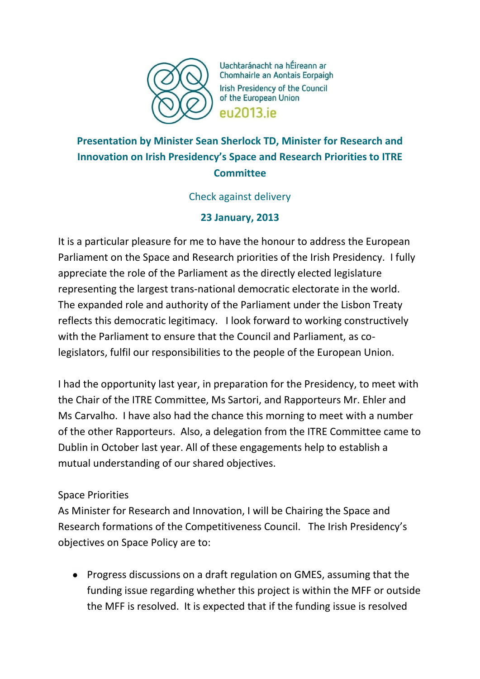

Uachtaránacht na hÉireann ar Chomhairle an Aontais Eorpaigh Irish Presidency of the Council of the European Union eu2013.ie

# **Presentation by Minister Sean Sherlock TD, Minister for Research and Innovation on Irish Presidency's Space and Research Priorities to ITRE Committee**

### Check against delivery

## **23 January, 2013**

It is a particular pleasure for me to have the honour to address the European Parliament on the Space and Research priorities of the Irish Presidency. I fully appreciate the role of the Parliament as the directly elected legislature representing the largest trans-national democratic electorate in the world. The expanded role and authority of the Parliament under the Lisbon Treaty reflects this democratic legitimacy. I look forward to working constructively with the Parliament to ensure that the Council and Parliament, as colegislators, fulfil our responsibilities to the people of the European Union.

I had the opportunity last year, in preparation for the Presidency, to meet with the Chair of the ITRE Committee, Ms Sartori, and Rapporteurs Mr. Ehler and Ms Carvalho. I have also had the chance this morning to meet with a number of the other Rapporteurs. Also, a delegation from the ITRE Committee came to Dublin in October last year. All of these engagements help to establish a mutual understanding of our shared objectives.

### Space Priorities

As Minister for Research and Innovation, I will be Chairing the Space and Research formations of the Competitiveness Council. The Irish Presidency's objectives on Space Policy are to:

• Progress discussions on a draft regulation on GMES, assuming that the funding issue regarding whether this project is within the MFF or outside the MFF is resolved. It is expected that if the funding issue is resolved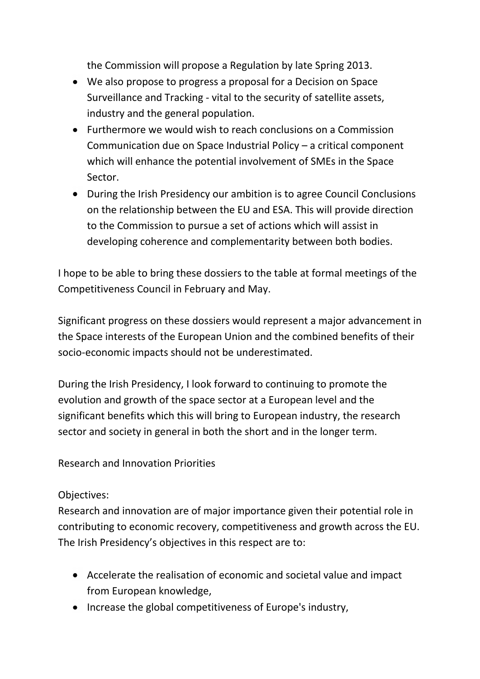the Commission will propose a Regulation by late Spring 2013.

- We also propose to progress a proposal for a Decision on Space Surveillance and Tracking - vital to the security of satellite assets, industry and the general population.
- Furthermore we would wish to reach conclusions on a Commission Communication due on Space Industrial Policy – a critical component which will enhance the potential involvement of SMEs in the Space Sector.
- During the Irish Presidency our ambition is to agree Council Conclusions on the relationship between the EU and ESA. This will provide direction to the Commission to pursue a set of actions which will assist in developing coherence and complementarity between both bodies.

I hope to be able to bring these dossiers to the table at formal meetings of the Competitiveness Council in February and May.

Significant progress on these dossiers would represent a major advancement in the Space interests of the European Union and the combined benefits of their socio-economic impacts should not be underestimated.

During the Irish Presidency, I look forward to continuing to promote the evolution and growth of the space sector at a European level and the significant benefits which this will bring to European industry, the research sector and society in general in both the short and in the longer term.

Research and Innovation Priorities

Objectives:

Research and innovation are of major importance given their potential role in contributing to economic recovery, competitiveness and growth across the EU. The Irish Presidency's objectives in this respect are to:

- Accelerate the realisation of economic and societal value and impact from European knowledge,
- Increase the global competitiveness of Europe's industry,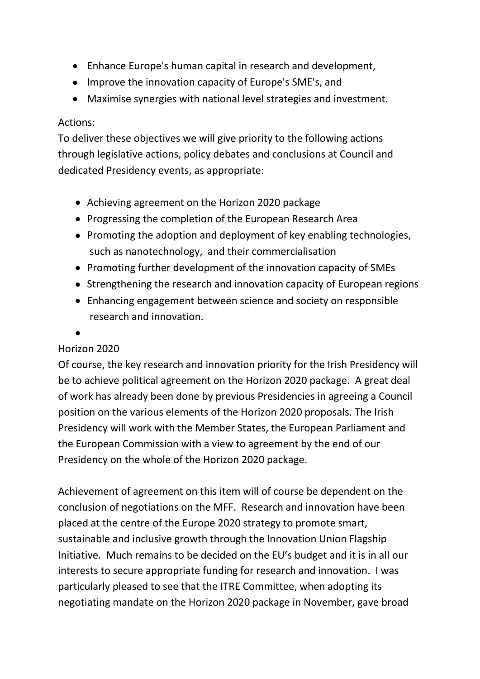- Enhance Europe's human capital in research and development,
- Improve the innovation capacity of Europe's SME's, and
- Maximise synergies with national level strategies and investment.

#### Actions:

To deliver these objectives we will give priority to the following actions through legislative actions, policy debates and conclusions at Council and dedicated Presidency events, as appropriate:

- Achieving agreement on the Horizon 2020 package
- Progressing the completion of the European Research Area
- Promoting the adoption and deployment of key enabling technologies, such as nanotechnology, and their commercialisation
- Promoting further development of the innovation capacity of SMEs
- Strengthening the research and innovation capacity of European regions
- Enhancing engagement between science and society on responsible research and innovation.
- 

### Horizon 2020

Of course, the key research and innovation priority for the Irish Presidency will be to achieve political agreement on the Horizon 2020 package. A great deal of work has already been done by previous Presidencies in agreeing a Council position on the various elements of the Horizon 2020 proposals. The Irish Presidency will work with the Member States, the European Parliament and the European Commission with a view to agreement by the end of our Presidency on the whole of the Horizon 2020 package.

Achievement of agreement on this item will of course be dependent on the conclusion of negotiations on the MFF. Research and innovation have been placed at the centre of the Europe 2020 strategy to promote smart, sustainable and inclusive growth through the Innovation Union Flagship Initiative. Much remains to be decided on the EU's budget and it is in all our interests to secure appropriate funding for research and innovation. I was particularly pleased to see that the ITRE Committee, when adopting its negotiating mandate on the Horizon 2020 package in November, gave broad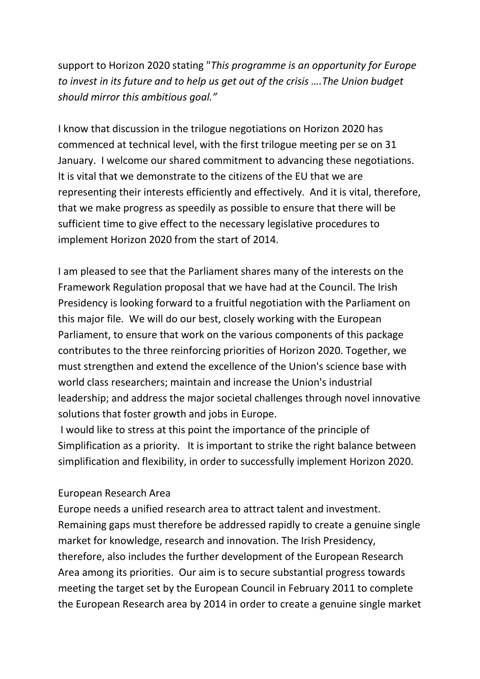support to Horizon 2020 stating "*This programme is an opportunity for Europe to invest in its future and to help us get out of the crisis ….The Union budget should mirror this ambitious goal."*

I know that discussion in the trilogue negotiations on Horizon 2020 has commenced at technical level, with the first trilogue meeting per se on 31 January. I welcome our shared commitment to advancing these negotiations. It is vital that we demonstrate to the citizens of the EU that we are representing their interests efficiently and effectively. And it is vital, therefore, that we make progress as speedily as possible to ensure that there will be sufficient time to give effect to the necessary legislative procedures to implement Horizon 2020 from the start of 2014.

I am pleased to see that the Parliament shares many of the interests on the Framework Regulation proposal that we have had at the Council. The Irish Presidency is looking forward to a fruitful negotiation with the Parliament on this major file. We will do our best, closely working with the European Parliament, to ensure that work on the various components of this package contributes to the three reinforcing priorities of Horizon 2020. Together, we must strengthen and extend the excellence of the Union's science base with world class researchers; maintain and increase the Union's industrial leadership; and address the major societal challenges through novel innovative solutions that foster growth and jobs in Europe.

I would like to stress at this point the importance of the principle of Simplification as a priority. It is important to strike the right balance between simplification and flexibility, in order to successfully implement Horizon 2020.

#### European Research Area

Europe needs a unified research area to attract talent and investment. Remaining gaps must therefore be addressed rapidly to create a genuine single market for knowledge, research and innovation. The Irish Presidency, therefore, also includes the further development of the European Research Area among its priorities. Our aim is to secure substantial progress towards meeting the target set by the European Council in February 2011 to complete the European Research area by 2014 in order to create a genuine single market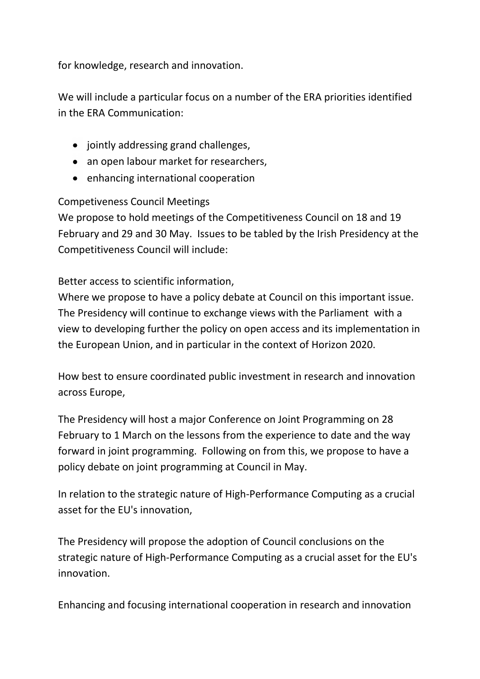for knowledge, research and innovation.

We will include a particular focus on a number of the ERA priorities identified in the ERA Communication:

- jointly addressing grand challenges,
- an open labour market for researchers,
- enhancing international cooperation

### Competiveness Council Meetings

We propose to hold meetings of the Competitiveness Council on 18 and 19 February and 29 and 30 May. Issues to be tabled by the Irish Presidency at the Competitiveness Council will include:

Better access to scientific information,

Where we propose to have a policy debate at Council on this important issue. The Presidency will continue to exchange views with the Parliament with a view to developing further the policy on open access and its implementation in the European Union, and in particular in the context of Horizon 2020.

How best to ensure coordinated public investment in research and innovation across Europe,

The Presidency will host a major Conference on Joint Programming on 28 February to 1 March on the lessons from the experience to date and the way forward in joint programming. Following on from this, we propose to have a policy debate on joint programming at Council in May.

In relation to the strategic nature of High-Performance Computing as a crucial asset for the EU's innovation,

The Presidency will propose the adoption of Council conclusions on the strategic nature of High-Performance Computing as a crucial asset for the EU's innovation.

Enhancing and focusing international cooperation in research and innovation